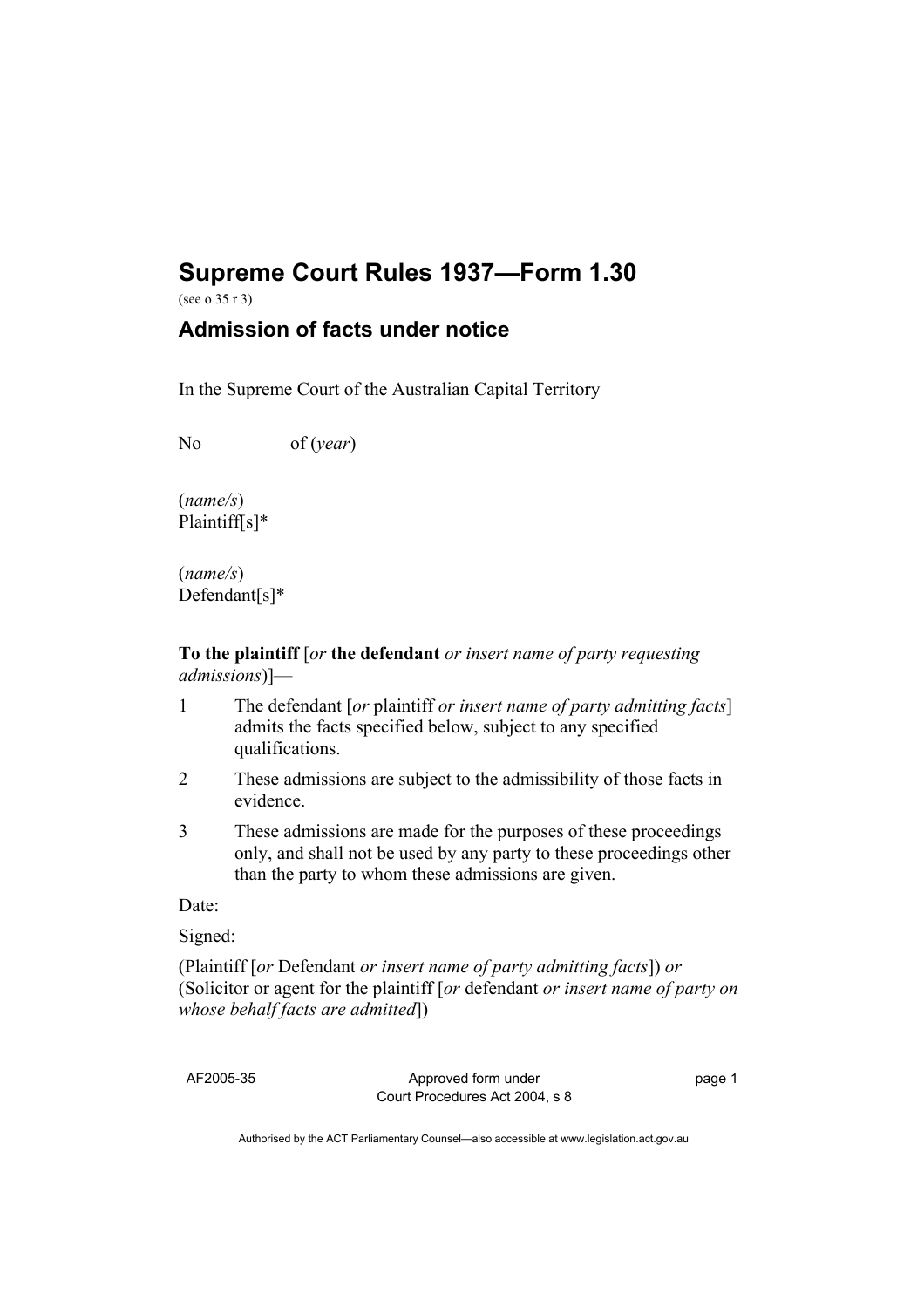# **Supreme Court Rules 1937—Form 1.30**

(see o 35 r 3)

## **Admission of facts under notice**

In the Supreme Court of the Australian Capital Territory

No of (*year*)

(*name/s*) Plaintiff[s]\*

(*name/s*) Defendant[s]\*

**To the plaintiff** [*or* **the defendant** *or insert name of party requesting admissions*)]—

- 1 The defendant [*or* plaintiff *or insert name of party admitting facts*] admits the facts specified below, subject to any specified qualifications.
- 2 These admissions are subject to the admissibility of those facts in evidence.
- 3 These admissions are made for the purposes of these proceedings only, and shall not be used by any party to these proceedings other than the party to whom these admissions are given.

Date:

Signed:

(Plaintiff [*or* Defendant *or insert name of party admitting facts*]) *or*  (Solicitor or agent for the plaintiff [*or* defendant *or insert name of party on whose behalf facts are admitted*])

AF2005-35 Approved form under Court Procedures Act 2004, s 8 page 1

Authorised by the ACT Parliamentary Counsel—also accessible at www.legislation.act.gov.au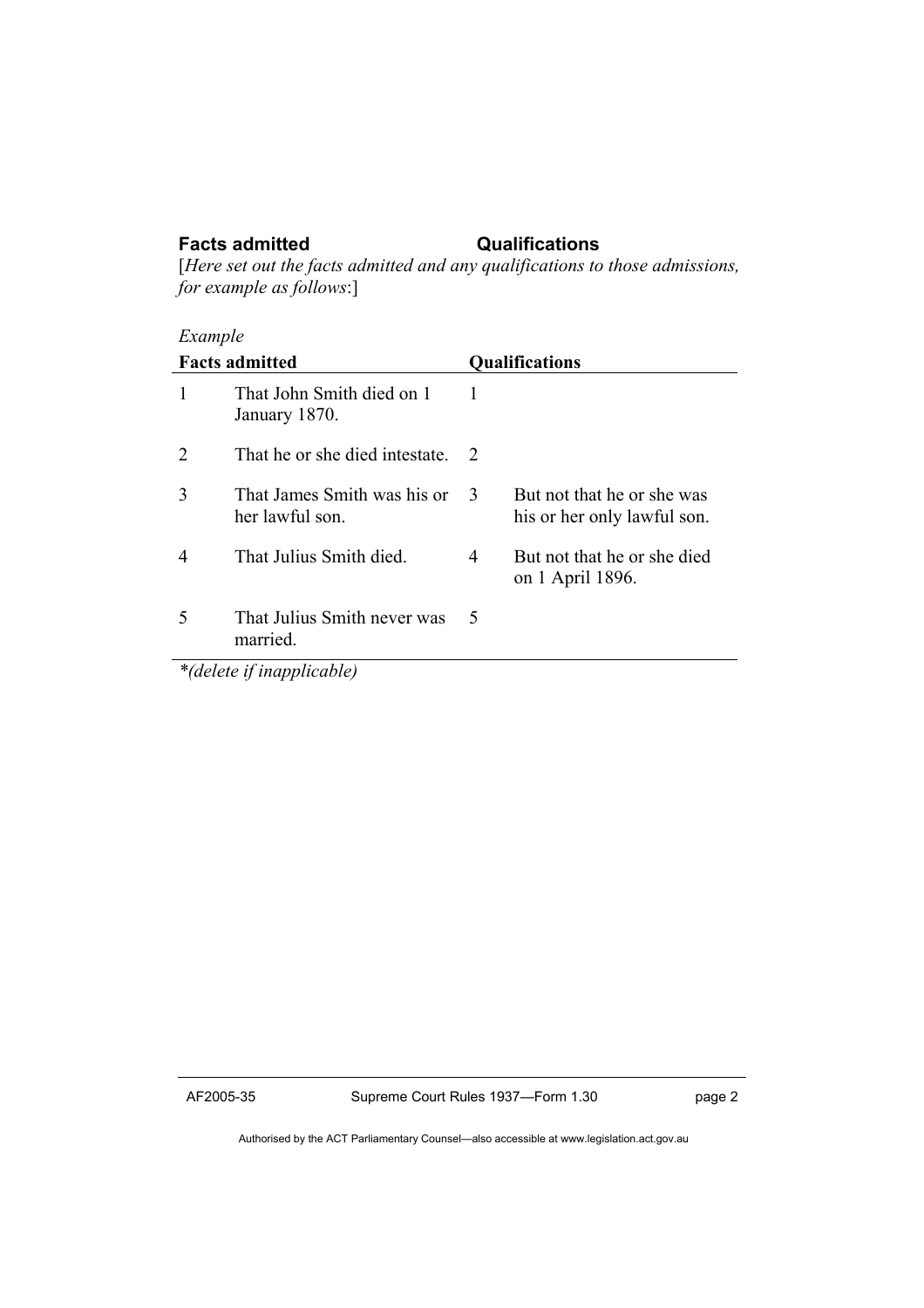### **Facts admitted Qualifications**

[*Here set out the facts admitted and any qualifications to those admissions, for example as follows*:]

## *Example*

| <b>Facts admitted</b>            |                                                | <b>Qualifications</b> |                                                           |
|----------------------------------|------------------------------------------------|-----------------------|-----------------------------------------------------------|
| $\mathbf{1}$                     | That John Smith died on 1<br>January 1870.     | 1                     |                                                           |
| 2                                | That he or she died intestate.                 | - 2                   |                                                           |
| 3                                | That James Smith was his or<br>her lawful son. | -3                    | But not that he or she was<br>his or her only lawful son. |
| $\overline{4}$                   | That Julius Smith died.                        | 4                     | But not that he or she died<br>on 1 April 1896.           |
| $\overline{\mathcal{L}}$         | That Julius Smith never was<br>married.        | 5                     |                                                           |
| <i>*(delete if inapplicable)</i> |                                                |                       |                                                           |

*\*(delete if inapplicable)* 

Authorised by the ACT Parliamentary Counsel—also accessible at www.legislation.act.gov.au